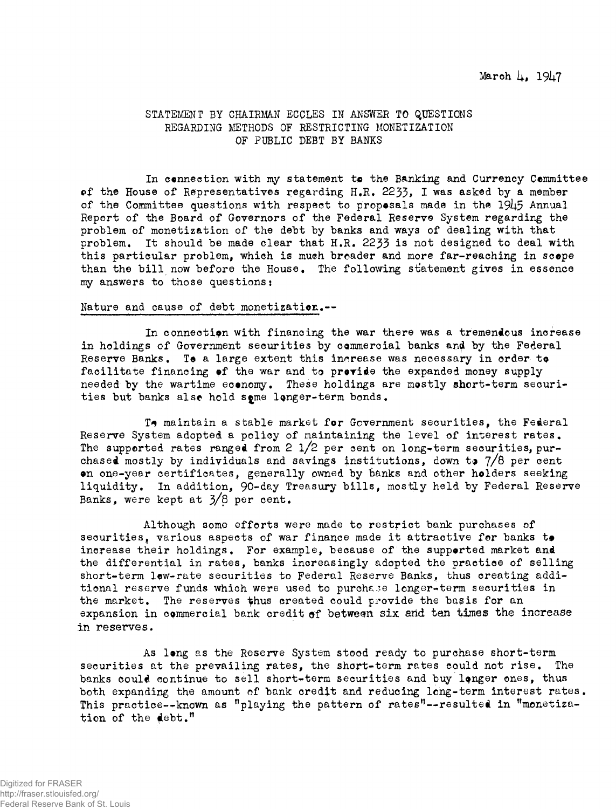# STATEMENT BY CHAIRMAN ECCLES IN ANSWER TO QUESTIONS REGARDING METHODS OF RESTRICTING MONETIZATION OF PUBLIC DEBT BY BANKS

In connection with my statement to the Banking and Currency Cemmittee of the House of Representatives regarding H.R. 2235, I was asked by a member of the Committee questions with respect to proposals made in tha 1945 Annual Report of the Board of Governors of the Federal Reserve System regarding the problem of monetization of the debt by banks and ways of dealing with that problem. It should be made clear that H.R. 2233 is not designed to deal with this particular problem, which is much broader and more far-reaching in scope than the bill now before the House. The following statement gives in essence my answers to those questions:

## Nature and cause of debt monetization.--

In connection with financing the war there was a tremendous increase in holdings of Government securities by commercial banks and by the Federal Reserve Banks. To a large extent this increase was necessary in order to facilitate financing of the war and to provide the expanded money supply needed by the wartime economy. These holdings are mostly short-term securities but banks alse hold some longer-term bonds.

To maintain a stable market for Government securities, the Federal Reserve System adopted a policy of maintaining the level of interest rates. The supported rates ranged from 2 i/2 per cent on long-term securities, purchased mostly by individuals and savings institutions, down to  $7/8$  per cent on one-year certificates, generally owned by banks and other holders seeking liquidity. In addition, 90-day Treasury bills, mostly held by Federal Reserve Banks, were kept at  $3/8$  per cent.

Although some efforts were made to restrict bank purchases of securities, various aspects of war finance made it attractive for banks to increase their holdings. For example, because of the supported market and the differential in rates, banks increasingly adopted the practice of selling short-term low-rate securities to Federal Reserve Banks, thus creating additional reserve funds which were used to purchase longer-term securities in the market. The reserves thus created could provide the basis for an expansion in commercial bank credit of between six and ten times the increase in reserves.

As long as the Reserve System stood ready to purchase short-term securities at the prevailing rates, the short-term rates could not rise. The banks could continue to sell short-term securities and buy longer ones, thus both expanding the amount of bank credit and reducing long-term interest rates. This practice--known as "playing the pattern of rates"--resulted in "monetization of the debt."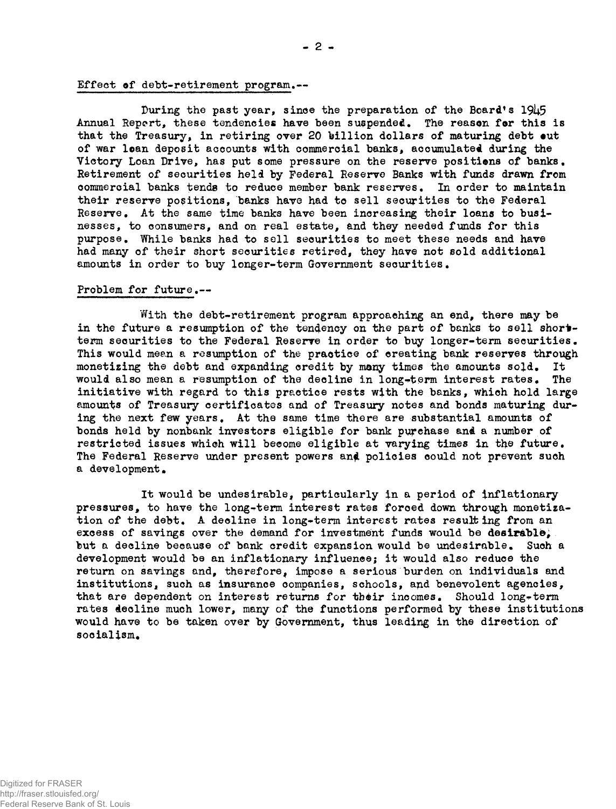## Effect of debt-retirement program.—

During the past year, since the preparation of the Board's 1945 Annual Report, these tendencies have been suspended. The reason for this is that the Treasury, in retiring over 20 billion dollars of maturing debt out of war loan deposit accounts with commercial banks, accumulated during the Victory Loan Drive, has put some pressure on the reserve positions of banks. Retirement of securities held by Federal Reserve Banks with funds drawn from commercial banks tends to reduce member bank reserves. In order to maintain their reserve positions, banks have had to sell securities to the Federal Reserve. At the same time banks have been increasing their loans to businesses, to consumers, and on real estate, and they needed funds for this purpose. While banks had to sell securities to meet these needs and have had many of their short securities retired, they have not sold additional amounts in order to buy longer-term Government securities.

#### Problem for future.—

With the debt-retirement program approaching an end, there may be in the future a resumption of the tendency on the part of banks to sell shortterm securities to the Federal Reserve in order to buy longer-term securities. This would mean a resumption of the practice of creating bank reserves through monetising the debt and expanding credit by many times the amounts sojd. It would also mean a resumption of the decline in long-term interest rates. The initiative with regard to this practice rests with the banks, which hold large amounts of Treasury certificates and of Treasury notes and bonds maturing during the next few years. At the same time there are substantial amounts of bonds held by nonbank investors eligible for bank purchase and a number of restricted issues which will become eligible at varying times in the future. The Federal Reserve under present powers and policies could not prevent such a development.

It would be undesirable, particularly in a period of inflationary pressures, to have the long-term interest rates forced down through monetization of the debt. A decline in long-term interest rates resulting from an excess of savings over the demand for investment funds would be desirable; but a decline becauae of bank credit expansion would be undesirable. Such a development would be an inflationary influence; it would also reduce the return on savings and, therefore, impose a serious burden on individuals and institutions, such as insurance companies, schools, and benevolent agencies, that are dependent on interest returns for their incomes. Should long-term rates decline much lower, many of the functions performed by these institutions would have to be taken over by Government, thus leading in the direction of socialism.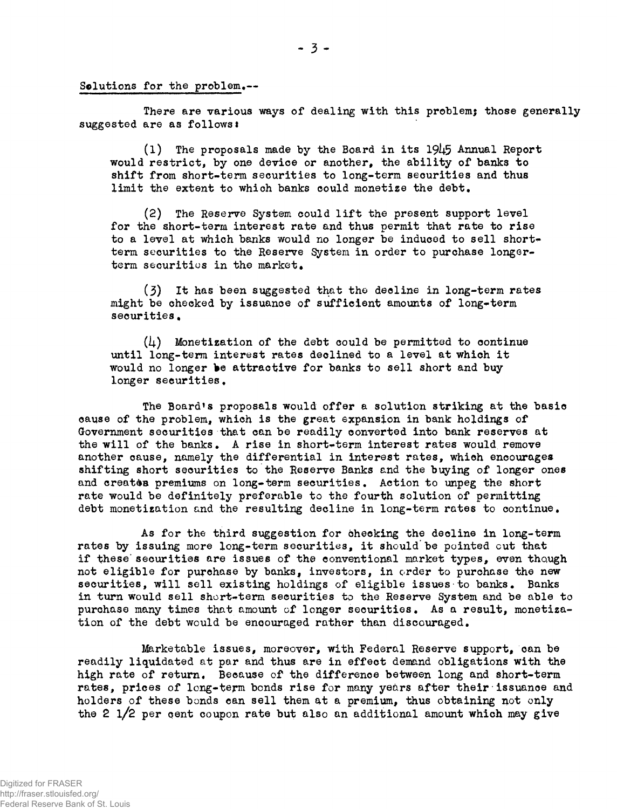Solutions for the problem.--

There are various ways of dealing with this problem; those generally suggested are as follows:

(1) The proposals made by the Board in its 191+5 Annual Report would restrict, by one device or another, the ability of banks to shift from short-term securities to long-term securities and thus limit the extent to which banks could monetize the debt.

(2) The Reserve System could lift the present support level for the short-term interest rate and thus permit that rate to rise to a level at which banks would no longer be induced to sell shortterm securities to the Reserve System in order to purchase longerterm securities in the market.

(3) It has been suggested that the decline in long-term rates might be checked by issuance of sufficient amounts of long-term securities.

 $(i)$  Monetization of the debt could be permitted to continue until long-term interest rates declined to a level at which it would no longer be attractive for banks to sell short and buy longer securities.

The Board's proposals would offer a solution striking at the basic cause of the problem, which is the great expansion in bank holdings of Government securities that can be readily converted into bank reserves at the will of the banks. A rise in short-term interest rates would remove another cause, namely the differential in interest rates, which encourages shifting short securities to the Reserve Banks and the buying of longer ones and creates premiums on long-term securities. Action to unpeg the short rate would be definitely preferable to the fourth solution of permitting debt monetization and the resulting decline in long-term rates to continue.

As for the third suggestion for checking the decline in long-term rates by issuing more long-term securities, it should be pointed cut that if these' securities are issues of the conventional market types, even though not eligible for purchase by banks, investors, in order to purchase the new securities, will sell existing holdings of eligible issues to banks. Banks in turn would sell short-term securities to the Reserve System and be able to purchase many times that amount of longer securities. As a result, monetization of the debt would be encouraged rather than discouraged.

Marketable issues, moreover, with Federal Reserve support, can be readily liquidated at par and thus are in effect demand obligations with the high rate of return. Because of the difference between long and short-term rates, prices of long-term bonds rise for many years after their issuance and holders of these bonds can sell them at a premium, thus obtaining not only the 2 l/2 per pent coupon rate but also an additional amount which may give